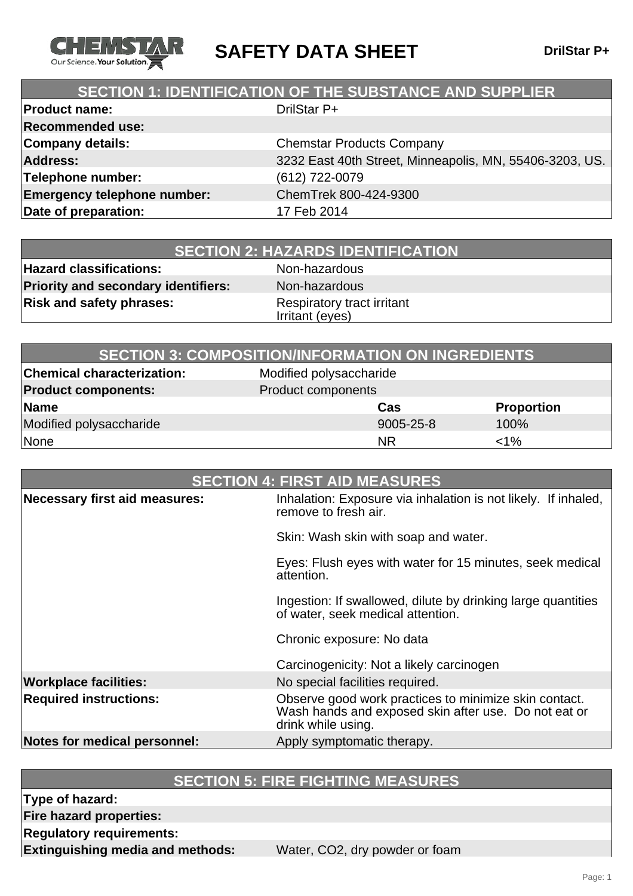

**SAFETY DATA SHEET** DrilStar P+

### **SECTION 1: IDENTIFICATION OF THE SUBSTANCE AND SUPPLIER**

| <b>Product name:</b>               | DrilStar P+                                             |
|------------------------------------|---------------------------------------------------------|
| <b>Recommended use:</b>            |                                                         |
| <b>Company details:</b>            | <b>Chemstar Products Company</b>                        |
| <b>Address:</b>                    | 3232 East 40th Street, Minneapolis, MN, 55406-3203, US. |
| Telephone number:                  | (612) 722-0079                                          |
| <b>Emergency telephone number:</b> | ChemTrek 800-424-9300                                   |
| Date of preparation:               | 17 Feb 2014                                             |
|                                    |                                                         |

**Hazard classifications:** Non-hazardous **Priority and secondary identifiers:** Non-hazardous **Risk and safety phrases:** Respiratory tract irritant

Irritant (eyes)

| <b>SECTION 3: COMPOSITION/INFORMATION ON INGREDIENTS</b> |                           |           |                   |
|----------------------------------------------------------|---------------------------|-----------|-------------------|
| <b>Chemical characterization:</b>                        | Modified polysaccharide   |           |                   |
| <b>Product components:</b>                               | <b>Product components</b> |           |                   |
| Name                                                     |                           | Cas       | <b>Proportion</b> |
| Modified polysaccharide                                  |                           | 9005-25-8 | 100%              |
| None                                                     |                           | <b>NR</b> | $<$ 1%            |

| <b>SECTION 4: FIRST AID MEASURES</b> |                                                                                                                                     |
|--------------------------------------|-------------------------------------------------------------------------------------------------------------------------------------|
| Necessary first aid measures:        | Inhalation: Exposure via inhalation is not likely. If inhaled,<br>remove to fresh air.                                              |
|                                      | Skin: Wash skin with soap and water.                                                                                                |
|                                      | Eyes: Flush eyes with water for 15 minutes, seek medical<br>attention.                                                              |
|                                      | Ingestion: If swallowed, dilute by drinking large quantities<br>of water, seek medical attention.                                   |
|                                      | Chronic exposure: No data                                                                                                           |
|                                      | Carcinogenicity: Not a likely carcinogen                                                                                            |
| <b>Workplace facilities:</b>         | No special facilities required.                                                                                                     |
| <b>Required instructions:</b>        | Observe good work practices to minimize skin contact.<br>Wash hands and exposed skin after use. Do not eat or<br>drink while using. |
| Notes for medical personnel:         | Apply symptomatic therapy.                                                                                                          |

### **SECTION 5: FIRE FIGHTING MEASURES**

**Type of hazard:**

**Fire hazard properties:**

**Regulatory requirements:**

**Extinguishing media and methods:** Water, CO2, dry powder or foam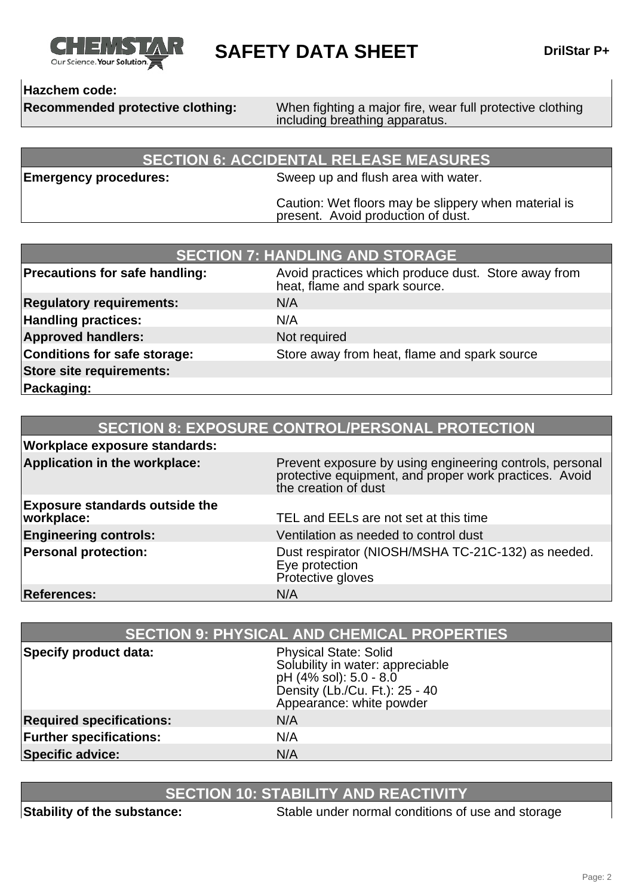

**SAFETY DATA SHEET** DrilStar P+

### **Hazchem code:**

**Recommended protective clothing:** When fighting a major fire, wear full protective clothing including breathing apparatus.

### **SECTION 6: ACCIDENTAL RELEASE MEASURES**

**Emergency procedures:** Sweep up and flush area with water.

Caution: Wet floors may be slippery when material is present. Avoid production of dust.

| <b>SECTION 7: HANDLING AND STORAGE</b> |                                                                                      |
|----------------------------------------|--------------------------------------------------------------------------------------|
| <b>Precautions for safe handling:</b>  | Avoid practices which produce dust. Store away from<br>heat, flame and spark source. |
| <b>Regulatory requirements:</b>        | N/A                                                                                  |
| <b>Handling practices:</b>             | N/A                                                                                  |
| <b>Approved handlers:</b>              | Not required                                                                         |
| Conditions for safe storage:           | Store away from heat, flame and spark source                                         |
| Store site requirements:               |                                                                                      |
| Packaging:                             |                                                                                      |

| <b>SECTION 8: EXPOSURE CONTROL/PERSONAL PROTECTION</b> |                                                                                                                                            |
|--------------------------------------------------------|--------------------------------------------------------------------------------------------------------------------------------------------|
| <b>Workplace exposure standards:</b>                   |                                                                                                                                            |
| Application in the workplace:                          | Prevent exposure by using engineering controls, personal<br>protective equipment, and proper work practices. Avoid<br>the creation of dust |
| <b>Exposure standards outside the</b><br>workplace:    | TEL and EELs are not set at this time                                                                                                      |
| <b>Engineering controls:</b>                           | Ventilation as needed to control dust                                                                                                      |
| <b>Personal protection:</b>                            | Dust respirator (NIOSH/MSHA TC-21C-132) as needed.<br>Eye protection<br>Protective gloves                                                  |
| <b>References:</b>                                     | N/A                                                                                                                                        |

| <b>SECTION 9: PHYSICAL AND CHEMICAL PROPERTIES</b> |                                                                                                                                                          |
|----------------------------------------------------|----------------------------------------------------------------------------------------------------------------------------------------------------------|
| Specify product data:                              | <b>Physical State: Solid</b><br>Solubility in water: appreciable<br>pH (4% sol): 5.0 - 8.0<br>Density (Lb./Cu. Ft.): 25 - 40<br>Appearance: white powder |
| <b>Required specifications:</b>                    | N/A                                                                                                                                                      |
| <b>Further specifications:</b>                     | N/A                                                                                                                                                      |
| <b>Specific advice:</b>                            | N/A                                                                                                                                                      |

## **SECTION 10: STABILITY AND REACTIVITY**

**Stability of the substance:** Stable under normal conditions of use and storage